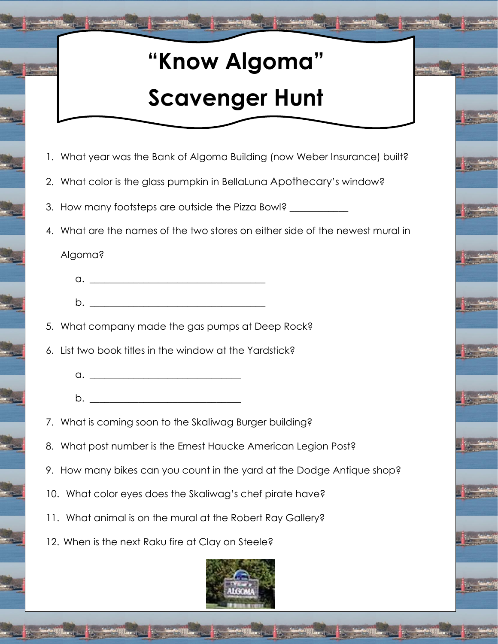## **"Know Algoma"**

## **Scavenger Hunt**

- 1. What year was the Bank of Algoma Building (now Weber Insurance) built?
- 2. What color is the glass pumpkin in BellaLuna Apothecary's window?
- 3. How many footsteps are outside the Pizza Bowl?
- 4. What are the names of the two stores on either side of the newest mural in

Algoma?

- a. \_\_\_\_\_\_\_\_\_\_\_\_\_\_\_\_\_\_\_\_\_\_\_\_\_\_\_\_\_\_\_\_\_\_\_\_
- b. \_\_\_\_\_\_\_\_\_\_\_\_\_\_\_\_\_\_\_\_\_\_\_\_\_\_\_\_\_\_\_\_\_\_\_\_

5. What company made the gas pumps at Deep Rock?

- 6. List two book titles in the window at the Yardstick?
	- $a.$
	- $b.$
- 7. What is coming soon to the Skaliwag Burger building?
- 8. What post number is the Ernest Haucke American Legion Post?
- 9. How many bikes can you count in the yard at the Dodge Antique shop?
- 10. What color eyes does the Skaliwag's chef pirate have?
- 11. What animal is on the mural at the Robert Ray Gallery?
- 12. When is the next Raku fire at Clay on Steele?